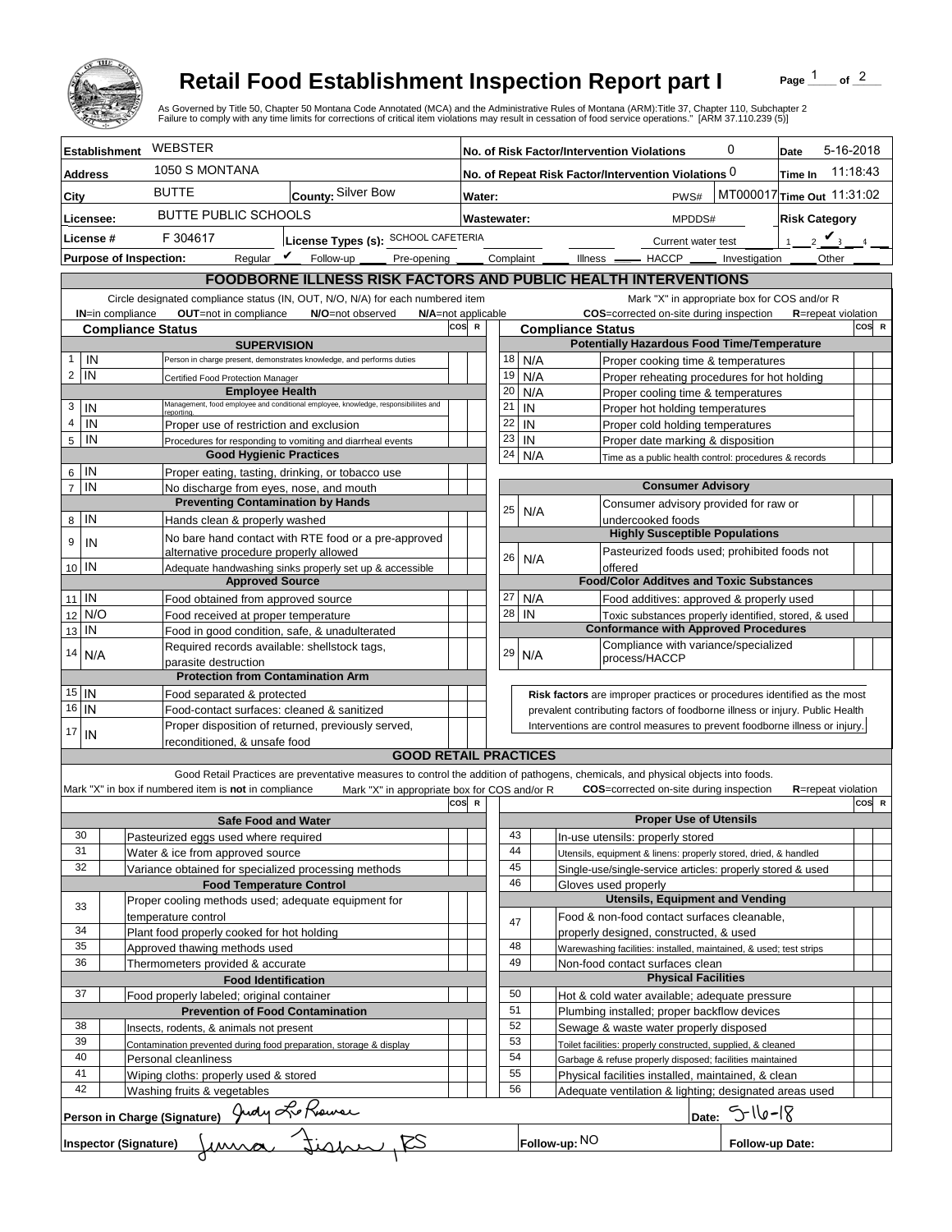

## **Retail Food Establishment Inspection Report part I**

Page  $\frac{1}{1}$  of  $\frac{2}{1}$ 

|                        |                               | <b>Retail Food Establishment Inspection Report part I</b><br>As Governed by Title 50, Chapter 50 Montana Code Annotated (MCA) and the Administrative Rules of Montana (ARM):Title 37, Chapter 110, Subchapter 2<br>Failure to comply with any time limits for corrections of critical item violations may result in cessation of food service operations." [ARM 37.110.239 (5)] |                                                                                                                                                         |     |                                                                |                                                 |                                                                    |               |                                                                                                                                                          |                                                                   | Page                                         | of $2$                     |       |
|------------------------|-------------------------------|---------------------------------------------------------------------------------------------------------------------------------------------------------------------------------------------------------------------------------------------------------------------------------------------------------------------------------------------------------------------------------|---------------------------------------------------------------------------------------------------------------------------------------------------------|-----|----------------------------------------------------------------|-------------------------------------------------|--------------------------------------------------------------------|---------------|----------------------------------------------------------------------------------------------------------------------------------------------------------|-------------------------------------------------------------------|----------------------------------------------|----------------------------|-------|
| <b>Establishment</b>   |                               | WEBSTER                                                                                                                                                                                                                                                                                                                                                                         |                                                                                                                                                         |     | 0<br>No. of Risk Factor/Intervention Violations                |                                                 |                                                                    |               |                                                                                                                                                          | Date                                                              | 5-16-2018                                    |                            |       |
| <b>Address</b>         |                               | 1050 S MONTANA                                                                                                                                                                                                                                                                                                                                                                  |                                                                                                                                                         |     | No. of Repeat Risk Factor/Intervention Violations 0<br>Time In |                                                 |                                                                    |               |                                                                                                                                                          |                                                                   | 11:18:43                                     |                            |       |
| City                   |                               | <b>BUTTE</b>                                                                                                                                                                                                                                                                                                                                                                    | County: Silver Bow                                                                                                                                      |     |                                                                | MT000017 Time Out 11:31:02<br>PWS#<br>Water:    |                                                                    |               |                                                                                                                                                          |                                                                   |                                              |                            |       |
|                        |                               |                                                                                                                                                                                                                                                                                                                                                                                 | <b>BUTTE PUBLIC SCHOOLS</b>                                                                                                                             |     |                                                                | Wastewater:                                     |                                                                    |               |                                                                                                                                                          |                                                                   |                                              |                            |       |
| Licensee:<br>License # |                               |                                                                                                                                                                                                                                                                                                                                                                                 |                                                                                                                                                         |     |                                                                |                                                 |                                                                    |               | <b>Risk Category</b><br>MPDDS#<br>$2 \mathbf{V}$                                                                                                         |                                                                   |                                              |                            |       |
|                        |                               |                                                                                                                                                                                                                                                                                                                                                                                 | F 304617<br>License Types (s): SCHOOL CAFETERIA<br>Regular $\mathbf{\nu}$                                                                               |     |                                                                | Complaint                                       |                                                                    |               | 1 <sup>1</sup><br>Current water test                                                                                                                     |                                                                   |                                              |                            |       |
|                        | <b>Purpose of Inspection:</b> |                                                                                                                                                                                                                                                                                                                                                                                 | Follow-up<br>Pre-opening _                                                                                                                              |     |                                                                |                                                 |                                                                    | Illness —     | $-$ HACCP $\_\_$                                                                                                                                         |                                                                   | Investigation                                | Other                      |       |
|                        |                               |                                                                                                                                                                                                                                                                                                                                                                                 | <b>FOODBORNE ILLNESS RISK FACTORS AND PUBLIC HEALTH INTERVENTIONS</b><br>Circle designated compliance status (IN, OUT, N/O, N/A) for each numbered item |     |                                                                |                                                 |                                                                    |               |                                                                                                                                                          |                                                                   |                                              |                            |       |
|                        | <b>IN=in compliance</b>       | OUT=not in compliance                                                                                                                                                                                                                                                                                                                                                           | N/O=not observed<br>N/A=not applicable                                                                                                                  |     |                                                                |                                                 |                                                                    |               | COS=corrected on-site during inspection                                                                                                                  |                                                                   | Mark "X" in appropriate box for COS and/or R | <b>R</b> =repeat violation |       |
|                        |                               | <b>Compliance Status</b>                                                                                                                                                                                                                                                                                                                                                        |                                                                                                                                                         |     |                                                                | cos<br>$\mathbb{R}$<br><b>Compliance Status</b> |                                                                    |               |                                                                                                                                                          |                                                                   |                                              |                            | COS R |
|                        |                               |                                                                                                                                                                                                                                                                                                                                                                                 | <b>SUPERVISION</b>                                                                                                                                      |     |                                                                |                                                 |                                                                    |               | <b>Potentially Hazardous Food Time/Temperature</b>                                                                                                       |                                                                   |                                              |                            |       |
| $\mathbf{1}$           | IN<br>IN                      |                                                                                                                                                                                                                                                                                                                                                                                 | Person in charge present, demonstrates knowledge, and performs duties                                                                                   |     |                                                                | 18                                              |                                                                    | N/A           | Proper cooking time & temperatures                                                                                                                       |                                                                   |                                              |                            |       |
| $\overline{2}$         |                               | Certified Food Protection Manager                                                                                                                                                                                                                                                                                                                                               | <b>Employee Health</b>                                                                                                                                  |     |                                                                | 19<br>20                                        |                                                                    | N/A<br>N/A    | Proper reheating procedures for hot holding<br>Proper cooling time & temperatures                                                                        |                                                                   |                                              |                            |       |
| 3                      | IN                            |                                                                                                                                                                                                                                                                                                                                                                                 | Management, food employee and conditional employee, knowledge, responsibiliites and                                                                     |     |                                                                | 21                                              | IN                                                                 |               | Proper hot holding temperatures                                                                                                                          |                                                                   |                                              |                            |       |
| $\overline{4}$         | IN                            | reportina<br>Proper use of restriction and exclusion                                                                                                                                                                                                                                                                                                                            |                                                                                                                                                         |     |                                                                | 22                                              | IN                                                                 |               | Proper cold holding temperatures                                                                                                                         |                                                                   |                                              |                            |       |
| $5\phantom{.0}$        | IN                            |                                                                                                                                                                                                                                                                                                                                                                                 | Procedures for responding to vomiting and diarrheal events                                                                                              |     |                                                                | 23                                              | IN                                                                 |               | Proper date marking & disposition                                                                                                                        |                                                                   |                                              |                            |       |
|                        |                               |                                                                                                                                                                                                                                                                                                                                                                                 | <b>Good Hygienic Practices</b>                                                                                                                          |     |                                                                | 24                                              |                                                                    | N/A           | Time as a public health control: procedures & records                                                                                                    |                                                                   |                                              |                            |       |
| 6                      | IN                            |                                                                                                                                                                                                                                                                                                                                                                                 | Proper eating, tasting, drinking, or tobacco use                                                                                                        |     |                                                                |                                                 |                                                                    |               |                                                                                                                                                          |                                                                   |                                              |                            |       |
| $\overline{7}$         | IN                            |                                                                                                                                                                                                                                                                                                                                                                                 | No discharge from eyes, nose, and mouth<br><b>Preventing Contamination by Hands</b>                                                                     |     |                                                                |                                                 |                                                                    |               |                                                                                                                                                          | <b>Consumer Advisory</b><br>Consumer advisory provided for raw or |                                              |                            |       |
| 8                      | IN                            | Hands clean & properly washed                                                                                                                                                                                                                                                                                                                                                   |                                                                                                                                                         |     |                                                                | 25                                              |                                                                    | N/A           | undercooked foods                                                                                                                                        |                                                                   |                                              |                            |       |
| 9                      | IN                            |                                                                                                                                                                                                                                                                                                                                                                                 | No bare hand contact with RTE food or a pre-approved                                                                                                    |     |                                                                |                                                 |                                                                    |               | <b>Highly Susceptible Populations</b>                                                                                                                    |                                                                   |                                              |                            |       |
|                        |                               | alternative procedure properly allowed                                                                                                                                                                                                                                                                                                                                          |                                                                                                                                                         |     |                                                                | 26                                              |                                                                    | N/A           | Pasteurized foods used; prohibited foods not                                                                                                             |                                                                   |                                              |                            |       |
| 10 IN                  |                               |                                                                                                                                                                                                                                                                                                                                                                                 | Adequate handwashing sinks properly set up & accessible                                                                                                 |     |                                                                |                                                 |                                                                    |               | offered                                                                                                                                                  |                                                                   |                                              |                            |       |
| $11$ IN                |                               |                                                                                                                                                                                                                                                                                                                                                                                 | <b>Approved Source</b>                                                                                                                                  |     |                                                                | 27                                              |                                                                    | N/A           | <b>Food/Color Additves and Toxic Substances</b>                                                                                                          |                                                                   |                                              |                            |       |
| 12                     | N/O                           | Food obtained from approved source<br>Food received at proper temperature                                                                                                                                                                                                                                                                                                       |                                                                                                                                                         |     |                                                                | 28                                              | IN                                                                 |               | Food additives: approved & properly used<br>Toxic substances properly identified, stored, & used                                                         |                                                                   |                                              |                            |       |
| 13                     | IN                            |                                                                                                                                                                                                                                                                                                                                                                                 | Food in good condition, safe, & unadulterated                                                                                                           |     |                                                                |                                                 |                                                                    |               | <b>Conformance with Approved Procedures</b>                                                                                                              |                                                                   |                                              |                            |       |
| 14                     |                               |                                                                                                                                                                                                                                                                                                                                                                                 | Required records available: shellstock tags,                                                                                                            |     |                                                                | 29                                              |                                                                    |               | Compliance with variance/specialized                                                                                                                     |                                                                   |                                              |                            |       |
|                        | N/A                           | parasite destruction                                                                                                                                                                                                                                                                                                                                                            |                                                                                                                                                         |     |                                                                |                                                 |                                                                    | N/A           | process/HACCP                                                                                                                                            |                                                                   |                                              |                            |       |
|                        |                               |                                                                                                                                                                                                                                                                                                                                                                                 | <b>Protection from Contamination Arm</b>                                                                                                                |     |                                                                |                                                 |                                                                    |               |                                                                                                                                                          |                                                                   |                                              |                            |       |
| $15$ IN<br>16          | IN                            | Food separated & protected                                                                                                                                                                                                                                                                                                                                                      |                                                                                                                                                         |     |                                                                |                                                 |                                                                    |               | Risk factors are improper practices or procedures identified as the most<br>prevalent contributing factors of foodborne illness or injury. Public Health |                                                                   |                                              |                            |       |
|                        |                               |                                                                                                                                                                                                                                                                                                                                                                                 | Food-contact surfaces: cleaned & sanitized<br>Proper disposition of returned, previously served,                                                        |     |                                                                |                                                 |                                                                    |               | Interventions are control measures to prevent foodborne illness or injury.                                                                               |                                                                   |                                              |                            |       |
| 17                     | IN                            |                                                                                                                                                                                                                                                                                                                                                                                 | reconditioned, & unsafe food                                                                                                                            |     |                                                                |                                                 |                                                                    |               |                                                                                                                                                          |                                                                   |                                              |                            |       |
|                        |                               |                                                                                                                                                                                                                                                                                                                                                                                 | <b>GOOD RETAIL PRACTICES</b>                                                                                                                            |     |                                                                |                                                 |                                                                    |               |                                                                                                                                                          |                                                                   |                                              |                            |       |
|                        |                               |                                                                                                                                                                                                                                                                                                                                                                                 | Good Retail Practices are preventative measures to control the addition of pathogens, chemicals, and physical objects into foods.                       |     |                                                                |                                                 |                                                                    |               |                                                                                                                                                          |                                                                   |                                              |                            |       |
|                        |                               | Mark "X" in box if numbered item is not in compliance                                                                                                                                                                                                                                                                                                                           | Mark "X" in appropriate box for COS and/or R                                                                                                            | cos | $\mathbf R$                                                    |                                                 |                                                                    |               | COS=corrected on-site during inspection                                                                                                                  |                                                                   |                                              | <b>R</b> =repeat violation | COS R |
|                        |                               |                                                                                                                                                                                                                                                                                                                                                                                 | <b>Safe Food and Water</b>                                                                                                                              |     |                                                                |                                                 |                                                                    |               | <b>Proper Use of Utensils</b>                                                                                                                            |                                                                   |                                              |                            |       |
| 30                     |                               | Pasteurized eggs used where required                                                                                                                                                                                                                                                                                                                                            |                                                                                                                                                         |     |                                                                | 43                                              |                                                                    |               | In-use utensils: properly stored                                                                                                                         |                                                                   |                                              |                            |       |
| 31                     |                               | Water & ice from approved source                                                                                                                                                                                                                                                                                                                                                |                                                                                                                                                         |     |                                                                | 44                                              |                                                                    |               | Utensils, equipment & linens: properly stored, dried, & handled                                                                                          |                                                                   |                                              |                            |       |
| 32                     |                               |                                                                                                                                                                                                                                                                                                                                                                                 | Variance obtained for specialized processing methods                                                                                                    |     |                                                                | 45                                              |                                                                    |               | Single-use/single-service articles: properly stored & used                                                                                               |                                                                   |                                              |                            |       |
|                        |                               |                                                                                                                                                                                                                                                                                                                                                                                 | <b>Food Temperature Control</b><br>Proper cooling methods used; adequate equipment for                                                                  |     |                                                                | 46                                              |                                                                    |               | Gloves used properly<br><b>Utensils, Equipment and Vending</b>                                                                                           |                                                                   |                                              |                            |       |
| 33                     |                               | temperature control                                                                                                                                                                                                                                                                                                                                                             |                                                                                                                                                         |     |                                                                |                                                 |                                                                    |               | Food & non-food contact surfaces cleanable,                                                                                                              |                                                                   |                                              |                            |       |
| 34                     |                               | Plant food properly cooked for hot holding                                                                                                                                                                                                                                                                                                                                      |                                                                                                                                                         |     |                                                                | 47                                              |                                                                    |               | properly designed, constructed, & used                                                                                                                   |                                                                   |                                              |                            |       |
| 35                     |                               | Approved thawing methods used                                                                                                                                                                                                                                                                                                                                                   |                                                                                                                                                         |     |                                                                | 48                                              |                                                                    |               | Warewashing facilities: installed, maintained, & used; test strips                                                                                       |                                                                   |                                              |                            |       |
| 36                     |                               | Thermometers provided & accurate                                                                                                                                                                                                                                                                                                                                                |                                                                                                                                                         |     |                                                                | 49                                              |                                                                    |               | Non-food contact surfaces clean                                                                                                                          |                                                                   |                                              |                            |       |
| 37                     |                               |                                                                                                                                                                                                                                                                                                                                                                                 | <b>Food Identification</b>                                                                                                                              |     |                                                                | 50                                              |                                                                    |               |                                                                                                                                                          | <b>Physical Facilities</b>                                        |                                              |                            |       |
|                        |                               | Food properly labeled; original container                                                                                                                                                                                                                                                                                                                                       |                                                                                                                                                         |     |                                                                | 51                                              |                                                                    |               | Hot & cold water available; adequate pressure<br>Plumbing installed; proper backflow devices                                                             |                                                                   |                                              |                            |       |
| 38                     |                               |                                                                                                                                                                                                                                                                                                                                                                                 | <b>Prevention of Food Contamination</b><br>Insects, rodents, & animals not present                                                                      |     |                                                                | 52                                              |                                                                    |               | Sewage & waste water properly disposed                                                                                                                   |                                                                   |                                              |                            |       |
| 39                     |                               |                                                                                                                                                                                                                                                                                                                                                                                 | Contamination prevented during food preparation, storage & display                                                                                      |     |                                                                |                                                 | 53<br>Toilet facilities: properly constructed, supplied, & cleaned |               |                                                                                                                                                          |                                                                   |                                              |                            |       |
| 40                     |                               | Personal cleanliness                                                                                                                                                                                                                                                                                                                                                            |                                                                                                                                                         |     |                                                                | 54                                              |                                                                    |               | Garbage & refuse properly disposed; facilities maintained                                                                                                |                                                                   |                                              |                            |       |
| 41                     |                               | Wiping cloths: properly used & stored                                                                                                                                                                                                                                                                                                                                           |                                                                                                                                                         |     |                                                                | 55                                              |                                                                    |               | Physical facilities installed, maintained, & clean                                                                                                       |                                                                   |                                              |                            |       |
| 42                     |                               | Washing fruits & vegetables                                                                                                                                                                                                                                                                                                                                                     |                                                                                                                                                         |     |                                                                | 56                                              |                                                                    |               | Adequate ventilation & lighting; designated areas used                                                                                                   |                                                                   |                                              |                            |       |
|                        |                               |                                                                                                                                                                                                                                                                                                                                                                                 | Person in Charge (Signature) Judy Le Rouver<br>Inspector (Signature) January Judy Le                                                                    |     |                                                                |                                                 |                                                                    |               |                                                                                                                                                          |                                                                   | $\vert$ Date: 5 $\vert\vert\phi\lnot\vert\%$ |                            |       |
|                        |                               |                                                                                                                                                                                                                                                                                                                                                                                 |                                                                                                                                                         |     |                                                                |                                                 |                                                                    | Follow-up: NO |                                                                                                                                                          |                                                                   | Follow-up Date:                              |                            |       |